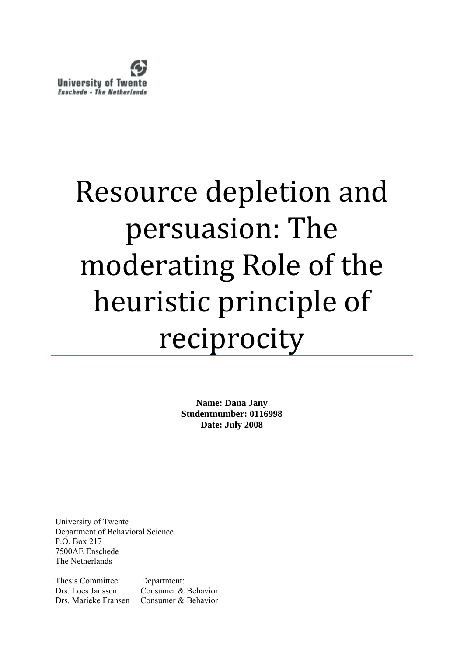

# Resource depletion and persuasion: The moderating Role of the heuristic principle of reciprocity

**Name: Dana Jany Studentnumber: 0116998 Date: July 2008**

University of Twente Department of Behavioral Science P.O. Box 217 7500AE Enschede The Netherlands

Thesis Committee: Department: Drs. Loes Janssen Consumer & Behavior Drs. Marieke Fransen Consumer & Behavior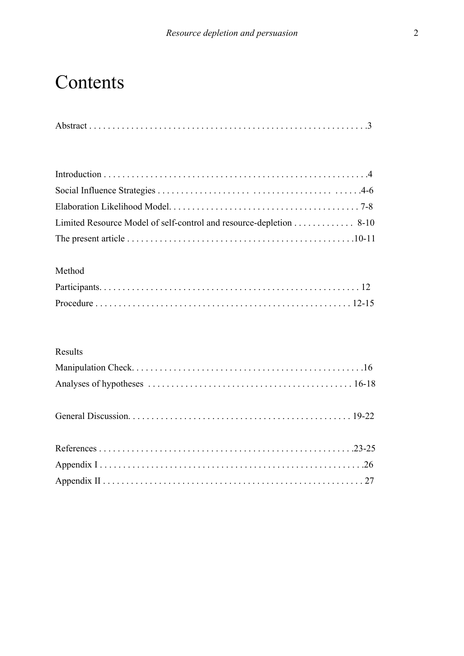# Contents

|--|--|--|

| Limited Resource Model of self-control and resource-depletion 8-10 |  |
|--------------------------------------------------------------------|--|
|                                                                    |  |

### Method

# Results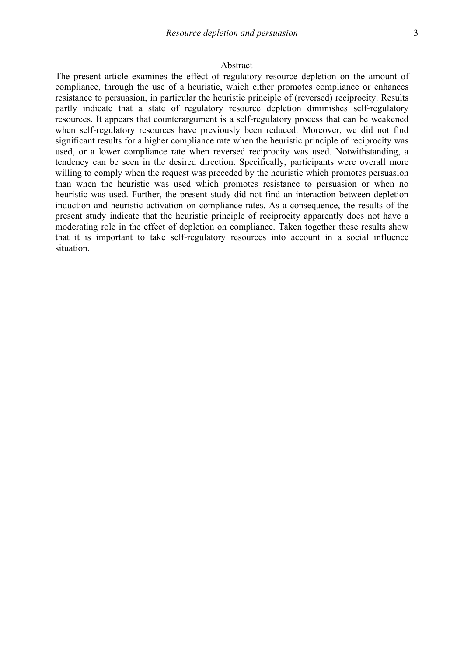#### Abstract

The present article examines the effect of regulatory resource depletion on the amount of compliance, through the use of a heuristic, which either promotes compliance or enhances resistance to persuasion, in particular the heuristic principle of (reversed) reciprocity. Results partly indicate that a state of regulatory resource depletion diminishes self-regulatory resources. It appears that counterargument is a self-regulatory process that can be weakened when self-regulatory resources have previously been reduced. Moreover, we did not find significant results for a higher compliance rate when the heuristic principle of reciprocity was used, or a lower compliance rate when reversed reciprocity was used. Notwithstanding, a tendency can be seen in the desired direction. Specifically, participants were overall more willing to comply when the request was preceded by the heuristic which promotes persuasion than when the heuristic was used which promotes resistance to persuasion or when no heuristic was used. Further, the present study did not find an interaction between depletion induction and heuristic activation on compliance rates. As a consequence, the results of the present study indicate that the heuristic principle of reciprocity apparently does not have a moderating role in the effect of depletion on compliance. Taken together these results show that it is important to take self-regulatory resources into account in a social influence situation.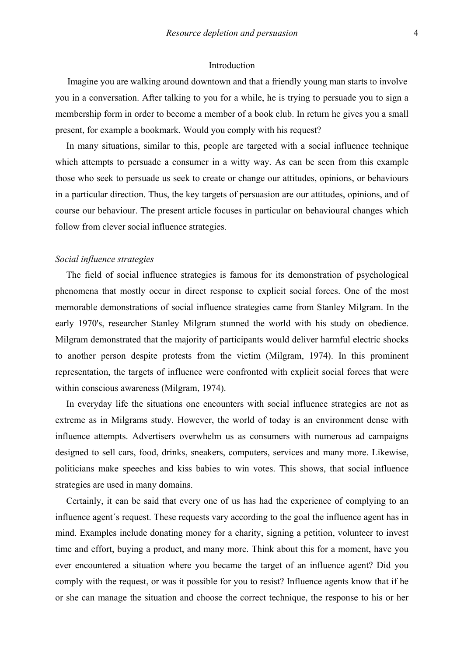#### Introduction

Imagine you are walking around downtown and that a friendly young man starts to involve you in a conversation. After talking to you for a while, he is trying to persuade you to sign a membership form in order to become a member of a book club. In return he gives you a small present, for example a bookmark. Would you comply with his request?

In many situations, similar to this, people are targeted with a social influence technique which attempts to persuade a consumer in a witty way. As can be seen from this example those who seek to persuade us seek to create or change our attitudes, opinions, or behaviours in a particular direction. Thus, the key targets of persuasion are our attitudes, opinions, and of course our behaviour. The present article focuses in particular on behavioural changes which follow from clever social influence strategies.

#### *Social influence strategies*

The field of social influence strategies is famous for its demonstration of psychological phenomena that mostly occur in direct response to explicit social forces. One of the most memorable demonstrations of social influence strategies came from Stanley Milgram. In the early 1970's, researcher Stanley Milgram stunned the world with his study on obedience. Milgram demonstrated that the majority of participants would deliver harmful electric shocks to another person despite protests from the victim (Milgram, 1974). In this prominent representation, the targets of influence were confronted with explicit social forces that were within conscious awareness (Milgram, 1974).

In everyday life the situations one encounters with social influence strategies are not as extreme as in Milgrams study. However, the world of today is an environment dense with influence attempts. Advertisers overwhelm us as consumers with numerous ad campaigns designed to sell cars, food, drinks, sneakers, computers, services and many more. Likewise, politicians make speeches and kiss babies to win votes. This shows, that social influence strategies are used in many domains.

Certainly, it can be said that every one of us has had the experience of complying to an influence agent´s request. These requests vary according to the goal the influence agent has in mind. Examples include donating money for a charity, signing a petition, volunteer to invest time and effort, buying a product, and many more. Think about this for a moment, have you ever encountered a situation where you became the target of an influence agent? Did you comply with the request, or was it possible for you to resist? Influence agents know that if he or she can manage the situation and choose the correct technique, the response to his or her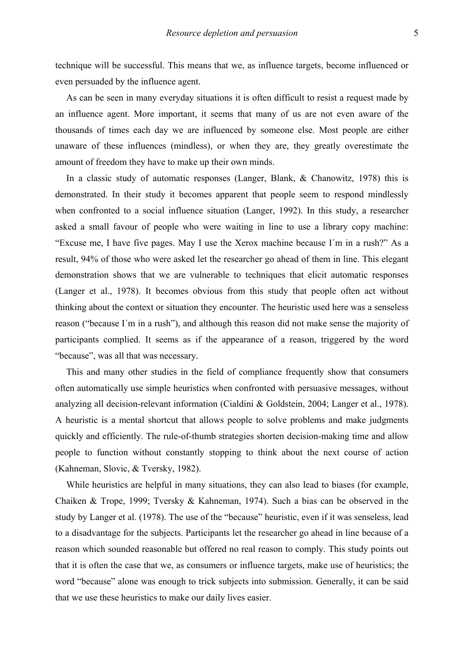technique will be successful. This means that we, as influence targets, become influenced or even persuaded by the influence agent.

As can be seen in many everyday situations it is often difficult to resist a request made by an influence agent. More important, it seems that many of us are not even aware of the thousands of times each day we are influenced by someone else. Most people are either unaware of these influences (mindless), or when they are, they greatly overestimate the amount of freedom they have to make up their own minds.

In a classic study of automatic responses (Langer, Blank, & Chanowitz, 1978) this is demonstrated. In their study it becomes apparent that people seem to respond mindlessly when confronted to a social influence situation (Langer, 1992). In this study, a researcher asked a small favour of people who were waiting in line to use a library copy machine: "Excuse me, I have five pages. May I use the Xerox machine because I´m in a rush?" As a result, 94% of those who were asked let the researcher go ahead of them in line. This elegant demonstration shows that we are vulnerable to techniques that elicit automatic responses (Langer et al., 1978). It becomes obvious from this study that people often act without thinking about the context or situation they encounter. The heuristic used here was a senseless reason ("because I´m in a rush"), and although this reason did not make sense the majority of participants complied. It seems as if the appearance of a reason, triggered by the word "because", was all that was necessary.

This and many other studies in the field of compliance frequently show that consumers often automatically use simple heuristics when confronted with persuasive messages, without analyzing all decision-relevant information (Cialdini & Goldstein, 2004; Langer et al., 1978). A heuristic is a mental shortcut that allows people to solve problems and make judgments quickly and efficiently. The rule-of-thumb strategies shorten decision-making time and allow people to function without constantly stopping to think about the next course of action (Kahneman, Slovic, & Tversky, 1982).

While heuristics are helpful in many situations, they can also lead to biases (for example, Chaiken & Trope, 1999; Tversky & Kahneman, 1974). Such a bias can be observed in the study by Langer et al. (1978). The use of the "because" heuristic, even if it was senseless, lead to a disadvantage for the subjects. Participants let the researcher go ahead in line because of a reason which sounded reasonable but offered no real reason to comply. This study points out that it is often the case that we, as consumers or influence targets, make use of heuristics; the word "because" alone was enough to trick subjects into submission. Generally, it can be said that we use these heuristics to make our daily lives easier.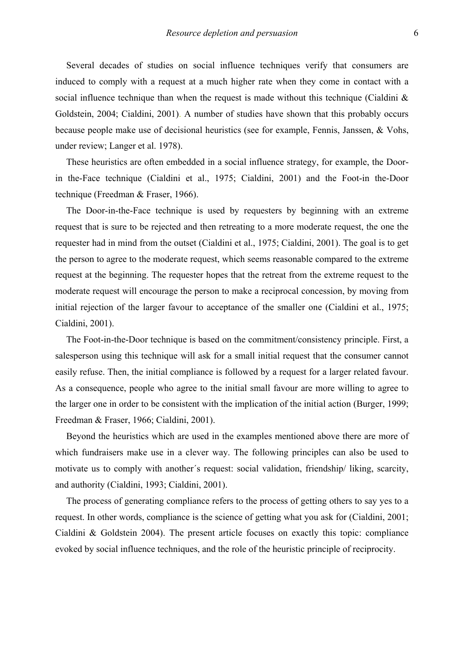Several decades of studies on social influence techniques verify that consumers are induced to comply with a request at a much higher rate when they come in contact with a social influence technique than when the request is made without this technique (Cialdini & Goldstein, 2004; Cialdini, 2001). A number of studies have shown that this probably occurs because people make use of decisional heuristics (see for example, Fennis, Janssen, & Vohs, under review; Langer et al. 1978).

These heuristics are often embedded in a social influence strategy, for example, the Doorin the-Face technique (Cialdini et al., 1975; Cialdini, 2001) and the Foot-in the-Door technique (Freedman & Fraser, 1966).

The Door-in-the-Face technique is used by requesters by beginning with an extreme request that is sure to be rejected and then retreating to a more moderate request, the one the requester had in mind from the outset (Cialdini et al., 1975; Cialdini, 2001). The goal is to get the person to agree to the moderate request, which seems reasonable compared to the extreme request at the beginning. The requester hopes that the retreat from the extreme request to the moderate request will encourage the person to make a reciprocal concession, by moving from initial rejection of the larger favour to acceptance of the smaller one (Cialdini et al., 1975; Cialdini, 2001).

The Foot-in-the-Door technique is based on the commitment/consistency principle. First, a salesperson using this technique will ask for a small initial request that the consumer cannot easily refuse. Then, the initial compliance is followed by a request for a larger related favour. As a consequence, people who agree to the initial small favour are more willing to agree to the larger one in order to be consistent with the implication of the initial action (Burger, 1999; Freedman & Fraser, 1966; Cialdini, 2001).

Beyond the heuristics which are used in the examples mentioned above there are more of which fundraisers make use in a clever way. The following principles can also be used to motivate us to comply with another´s request: social validation, friendship/ liking, scarcity, and authority (Cialdini, 1993; Cialdini, 2001).

The process of generating compliance refers to the process of getting others to say yes to a request. In other words, compliance is the science of getting what you ask for (Cialdini, 2001; Cialdini & Goldstein 2004). The present article focuses on exactly this topic: compliance evoked by social influence techniques, and the role of the heuristic principle of reciprocity.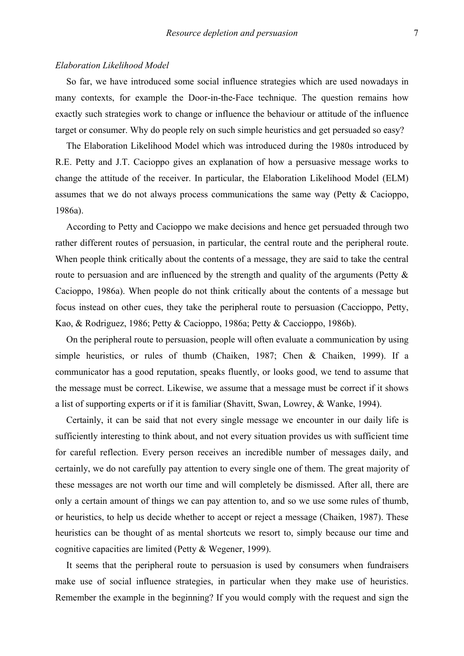#### *Elaboration Likelihood Model*

So far, we have introduced some social influence strategies which are used nowadays in many contexts, for example the Door-in-the-Face technique. The question remains how exactly such strategies work to change or influence the behaviour or attitude of the influence target or consumer. Why do people rely on such simple heuristics and get persuaded so easy?

The Elaboration Likelihood Model which was introduced during the 1980s introduced by R.E. Petty and J.T. Cacioppo gives an explanation of how a persuasive message works to change the attitude of the receiver. In particular, the Elaboration Likelihood Model (ELM) assumes that we do not always process communications the same way (Petty & Cacioppo, 1986a).

According to Petty and Cacioppo we make decisions and hence get persuaded through two rather different routes of persuasion, in particular, the central route and the peripheral route. When people think critically about the contents of a message, they are said to take the central route to persuasion and are influenced by the strength and quality of the arguments (Petty & Cacioppo, 1986a). When people do not think critically about the contents of a message but focus instead on other cues, they take the peripheral route to persuasion (Caccioppo, Petty, Kao, & Rodriguez, 1986; Petty & Cacioppo, 1986a; Petty & Caccioppo, 1986b).

On the peripheral route to persuasion, people will often evaluate a communication by using simple heuristics, or rules of thumb (Chaiken, 1987; Chen & Chaiken, 1999). If a communicator has a good reputation, speaks fluently, or looks good, we tend to assume that the message must be correct. Likewise, we assume that a message must be correct if it shows a list of supporting experts or if it is familiar (Shavitt, Swan, Lowrey, & Wanke, 1994).

Certainly, it can be said that not every single message we encounter in our daily life is sufficiently interesting to think about, and not every situation provides us with sufficient time for careful reflection. Every person receives an incredible number of messages daily, and certainly, we do not carefully pay attention to every single one of them. The great majority of these messages are not worth our time and will completely be dismissed. After all, there are only a certain amount of things we can pay attention to, and so we use some rules of thumb, or heuristics, to help us decide whether to accept or reject a message (Chaiken, 1987). These heuristics can be thought of as mental shortcuts we resort to, simply because our time and cognitive capacities are limited (Petty & Wegener, 1999).

It seems that the peripheral route to persuasion is used by consumers when fundraisers make use of social influence strategies, in particular when they make use of heuristics. Remember the example in the beginning? If you would comply with the request and sign the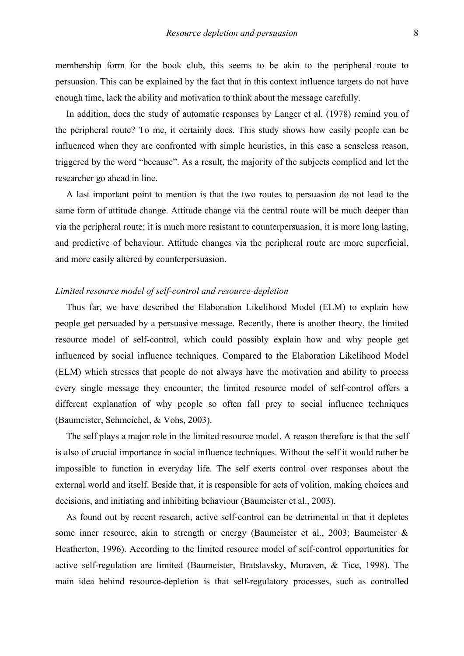membership form for the book club, this seems to be akin to the peripheral route to persuasion. This can be explained by the fact that in this context influence targets do not have enough time, lack the ability and motivation to think about the message carefully.

In addition, does the study of automatic responses by Langer et al. (1978) remind you of the peripheral route? To me, it certainly does. This study shows how easily people can be influenced when they are confronted with simple heuristics, in this case a senseless reason, triggered by the word "because". As a result, the majority of the subjects complied and let the researcher go ahead in line.

A last important point to mention is that the two routes to persuasion do not lead to the same form of attitude change. Attitude change via the central route will be much deeper than via the peripheral route; it is much more resistant to counterpersuasion, it is more long lasting, and predictive of behaviour. Attitude changes via the peripheral route are more superficial, and more easily altered by counterpersuasion.

#### *Limited resource model of self-control and resource-depletion*

Thus far, we have described the Elaboration Likelihood Model (ELM) to explain how people get persuaded by a persuasive message. Recently, there is another theory, the limited resource model of self-control, which could possibly explain how and why people get influenced by social influence techniques. Compared to the Elaboration Likelihood Model (ELM) which stresses that people do not always have the motivation and ability to process every single message they encounter, the limited resource model of self-control offers a different explanation of why people so often fall prey to social influence techniques (Baumeister, Schmeichel, & Vohs, 2003).

The self plays a major role in the limited resource model. A reason therefore is that the self is also of crucial importance in social influence techniques. Without the self it would rather be impossible to function in everyday life. The self exerts control over responses about the external world and itself. Beside that, it is responsible for acts of volition, making choices and decisions, and initiating and inhibiting behaviour (Baumeister et al., 2003).

As found out by recent research, active self-control can be detrimental in that it depletes some inner resource, akin to strength or energy (Baumeister et al., 2003; Baumeister & Heatherton, 1996). According to the limited resource model of self-control opportunities for active self-regulation are limited (Baumeister, Bratslavsky, Muraven, & Tice, 1998). The main idea behind resource-depletion is that self-regulatory processes, such as controlled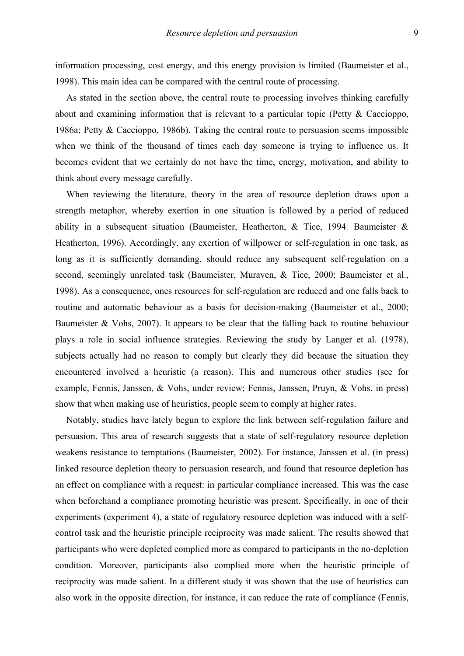information processing, cost energy, and this energy provision is limited (Baumeister et al., 1998). This main idea can be compared with the central route of processing.

As stated in the section above, the central route to processing involves thinking carefully about and examining information that is relevant to a particular topic (Petty & Caccioppo, 1986a; Petty & Caccioppo, 1986b). Taking the central route to persuasion seems impossible when we think of the thousand of times each day someone is trying to influence us. It becomes evident that we certainly do not have the time, energy, motivation, and ability to think about every message carefully.

When reviewing the literature, theory in the area of resource depletion draws upon a strength metaphor, whereby exertion in one situation is followed by a period of reduced ability in a subsequent situation (Baumeister, Heatherton, & Tice, 1994; Baumeister & Heatherton, 1996). Accordingly, any exertion of willpower or self-regulation in one task, as long as it is sufficiently demanding, should reduce any subsequent self-regulation on a second, seemingly unrelated task (Baumeister, Muraven, & Tice, 2000; Baumeister et al., 1998). As a consequence, ones resources for self-regulation are reduced and one falls back to routine and automatic behaviour as a basis for decision-making (Baumeister et al., 2000; Baumeister & Vohs, 2007). It appears to be clear that the falling back to routine behaviour plays a role in social influence strategies. Reviewing the study by Langer et al. (1978), subjects actually had no reason to comply but clearly they did because the situation they encountered involved a heuristic (a reason). This and numerous other studies (see for example, Fennis, Janssen, & Vohs, under review; Fennis, Janssen, Pruyn, & Vohs, in press) show that when making use of heuristics, people seem to comply at higher rates.

Notably, studies have lately begun to explore the link between self-regulation failure and persuasion. This area of research suggests that a state of self-regulatory resource depletion weakens resistance to temptations (Baumeister, 2002). For instance, Janssen et al. (in press) linked resource depletion theory to persuasion research, and found that resource depletion has an effect on compliance with a request: in particular compliance increased. This was the case when beforehand a compliance promoting heuristic was present. Specifically, in one of their experiments (experiment 4), a state of regulatory resource depletion was induced with a selfcontrol task and the heuristic principle reciprocity was made salient. The results showed that participants who were depleted complied more as compared to participants in the no-depletion condition. Moreover, participants also complied more when the heuristic principle of reciprocity was made salient. In a different study it was shown that the use of heuristics can also work in the opposite direction, for instance, it can reduce the rate of compliance (Fennis,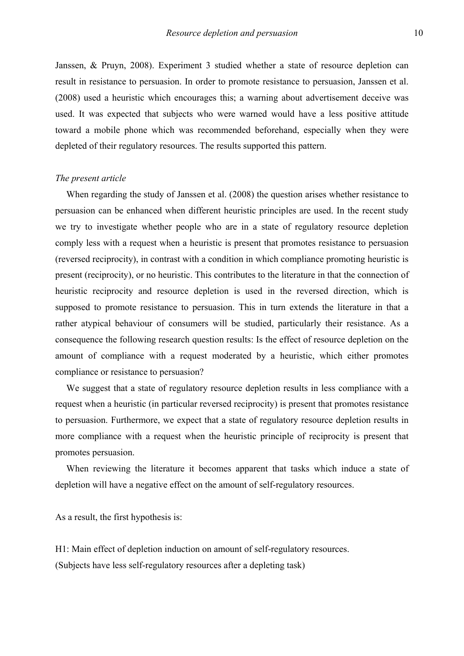Janssen, & Pruyn, 2008). Experiment 3 studied whether a state of resource depletion can result in resistance to persuasion. In order to promote resistance to persuasion, Janssen et al. (2008) used a heuristic which encourages this; a warning about advertisement deceive was used. It was expected that subjects who were warned would have a less positive attitude toward a mobile phone which was recommended beforehand, especially when they were depleted of their regulatory resources. The results supported this pattern.

#### *The present article*

When regarding the study of Janssen et al. (2008) the question arises whether resistance to persuasion can be enhanced when different heuristic principles are used. In the recent study we try to investigate whether people who are in a state of regulatory resource depletion comply less with a request when a heuristic is present that promotes resistance to persuasion (reversed reciprocity), in contrast with a condition in which compliance promoting heuristic is present (reciprocity), or no heuristic. This contributes to the literature in that the connection of heuristic reciprocity and resource depletion is used in the reversed direction, which is supposed to promote resistance to persuasion. This in turn extends the literature in that a rather atypical behaviour of consumers will be studied, particularly their resistance. As a consequence the following research question results: Is the effect of resource depletion on the amount of compliance with a request moderated by a heuristic, which either promotes compliance or resistance to persuasion?

We suggest that a state of regulatory resource depletion results in less compliance with a request when a heuristic (in particular reversed reciprocity) is present that promotes resistance to persuasion. Furthermore, we expect that a state of regulatory resource depletion results in more compliance with a request when the heuristic principle of reciprocity is present that promotes persuasion.

When reviewing the literature it becomes apparent that tasks which induce a state of depletion will have a negative effect on the amount of self-regulatory resources.

As a result, the first hypothesis is:

H1: Main effect of depletion induction on amount of self-regulatory resources. (Subjects have less self-regulatory resources after a depleting task)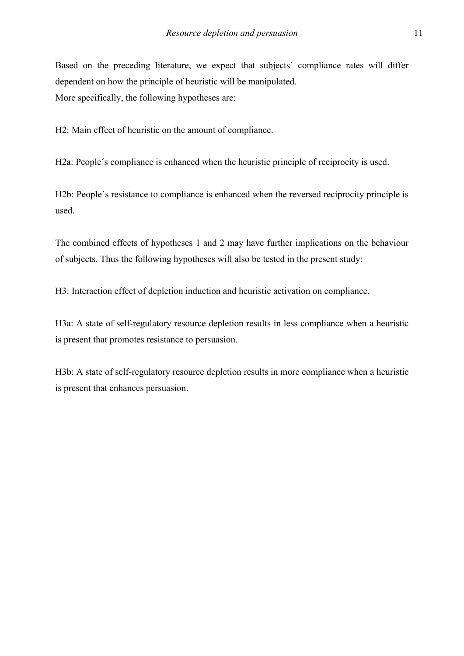Based on the preceding literature, we expect that subjects´ compliance rates will differ dependent on how the principle of heuristic will be manipulated. More specifically, the following hypotheses are:

H2: Main effect of heuristic on the amount of compliance.

H2a: People´s compliance is enhanced when the heuristic principle of reciprocity is used.

H2b: People´s resistance to compliance is enhanced when the reversed reciprocity principle is used.

The combined effects of hypotheses 1 and 2 may have further implications on the behaviour of subjects. Thus the following hypotheses will also be tested in the present study:

H3: Interaction effect of depletion induction and heuristic activation on compliance.

H3a: A state of self-regulatory resource depletion results in less compliance when a heuristic is present that promotes resistance to persuasion.

H3b: A state of self-regulatory resource depletion results in more compliance when a heuristic is present that enhances persuasion.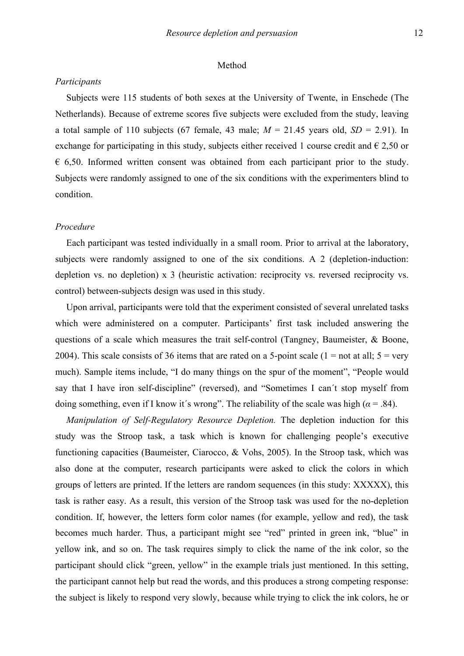#### Method

#### *Participants*

Subjects were 115 students of both sexes at the University of Twente, in Enschede (The Netherlands). Because of extreme scores five subjects were excluded from the study, leaving a total sample of 110 subjects (67 female, 43 male;  $M = 21.45$  years old,  $SD = 2.91$ ). In exchange for participating in this study, subjects either received 1 course credit and  $\epsilon$  2,50 or  $\epsilon$  6,50. Informed written consent was obtained from each participant prior to the study. Subjects were randomly assigned to one of the six conditions with the experimenters blind to condition.

#### *Procedure*

Each participant was tested individually in a small room. Prior to arrival at the laboratory, subjects were randomly assigned to one of the six conditions. A 2 (depletion-induction: depletion vs. no depletion) x 3 (heuristic activation: reciprocity vs. reversed reciprocity vs. control) between-subjects design was used in this study.

Upon arrival, participants were told that the experiment consisted of several unrelated tasks which were administered on a computer. Participants' first task included answering the questions of a scale which measures the trait self-control (Tangney, Baumeister, & Boone, 2004). This scale consists of 36 items that are rated on a 5-point scale (1 = not at all;  $5 = \text{very}$ ) much). Sample items include, "I do many things on the spur of the moment", "People would say that I have iron self-discipline" (reversed), and "Sometimes I can´t stop myself from doing something, even if I know it's wrong". The reliability of the scale was high ( $\alpha$  = .84).

*Manipulation of Self-Regulatory Resource Depletion.* The depletion induction for this study was the Stroop task, a task which is known for challenging people's executive functioning capacities (Baumeister, Ciarocco, & Vohs, 2005). In the Stroop task, which was also done at the computer, research participants were asked to click the colors in which groups of letters are printed. If the letters are random sequences (in this study: XXXXX), this task is rather easy. As a result, this version of the Stroop task was used for the no-depletion condition. If, however, the letters form color names (for example, yellow and red), the task becomes much harder. Thus, a participant might see "red" printed in green ink, "blue" in yellow ink, and so on. The task requires simply to click the name of the ink color, so the participant should click "green, yellow" in the example trials just mentioned. In this setting, the participant cannot help but read the words, and this produces a strong competing response: the subject is likely to respond very slowly, because while trying to click the ink colors, he or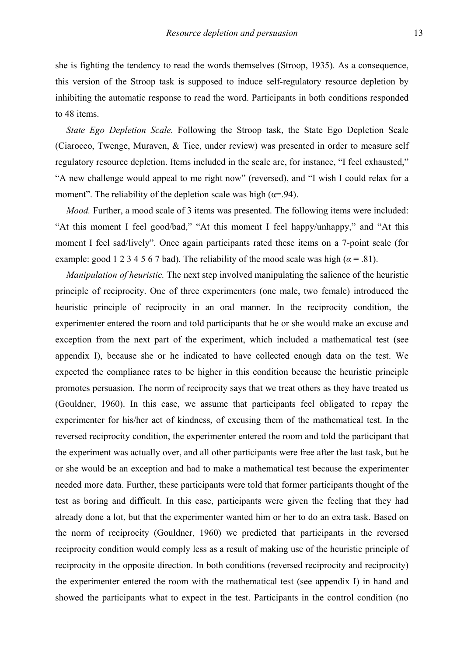she is fighting the tendency to read the words themselves (Stroop, 1935). As a consequence, this version of the Stroop task is supposed to induce self-regulatory resource depletion by inhibiting the automatic response to read the word. Participants in both conditions responded to 48 items.

*State Ego Depletion Scale.* Following the Stroop task, the State Ego Depletion Scale (Ciarocco, Twenge, Muraven, & Tice, under review) was presented in order to measure self regulatory resource depletion. Items included in the scale are, for instance, "I feel exhausted," "A new challenge would appeal to me right now" (reversed), and "I wish I could relax for a moment". The reliability of the depletion scale was high  $(\alpha = 94)$ .

*Mood.* Further, a mood scale of 3 items was presented. The following items were included: "At this moment I feel good/bad," "At this moment I feel happy/unhappy," and "At this moment I feel sad/lively". Once again participants rated these items on a 7-point scale (for example: good 1 2 3 4 5 6 7 bad). The reliability of the mood scale was high ( $\alpha$  = .81).

*Manipulation of heuristic.* The next step involved manipulating the salience of the heuristic principle of reciprocity. One of three experimenters (one male, two female) introduced the heuristic principle of reciprocity in an oral manner. In the reciprocity condition, the experimenter entered the room and told participants that he or she would make an excuse and exception from the next part of the experiment, which included a mathematical test (see appendix I), because she or he indicated to have collected enough data on the test. We expected the compliance rates to be higher in this condition because the heuristic principle promotes persuasion. The norm of reciprocity says that we treat others as they have treated us (Gouldner, 1960). In this case, we assume that participants feel obligated to repay the experimenter for his/her act of kindness, of excusing them of the mathematical test. In the reversed reciprocity condition, the experimenter entered the room and told the participant that the experiment was actually over, and all other participants were free after the last task, but he or she would be an exception and had to make a mathematical test because the experimenter needed more data. Further, these participants were told that former participants thought of the test as boring and difficult. In this case, participants were given the feeling that they had already done a lot, but that the experimenter wanted him or her to do an extra task. Based on the norm of reciprocity (Gouldner, 1960) we predicted that participants in the reversed reciprocity condition would comply less as a result of making use of the heuristic principle of reciprocity in the opposite direction. In both conditions (reversed reciprocity and reciprocity) the experimenter entered the room with the mathematical test (see appendix I) in hand and showed the participants what to expect in the test. Participants in the control condition (no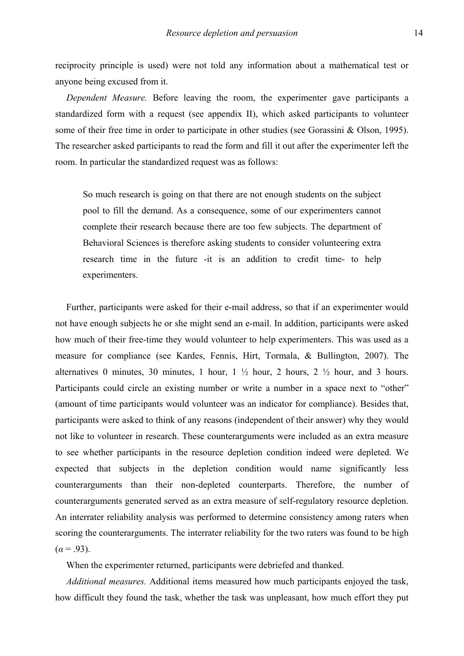reciprocity principle is used) were not told any information about a mathematical test or anyone being excused from it.

*Dependent Measure.* Before leaving the room, the experimenter gave participants a standardized form with a request (see appendix II), which asked participants to volunteer some of their free time in order to participate in other studies (see Gorassini & Olson, 1995). The researcher asked participants to read the form and fill it out after the experimenter left the room. In particular the standardized request was as follows:

So much research is going on that there are not enough students on the subject pool to fill the demand. As a consequence, some of our experimenters cannot complete their research because there are too few subjects. The department of Behavioral Sciences is therefore asking students to consider volunteering extra research time in the future -it is an addition to credit time- to help experimenters.

Further, participants were asked for their e-mail address, so that if an experimenter would not have enough subjects he or she might send an e-mail. In addition, participants were asked how much of their free-time they would volunteer to help experimenters. This was used as a measure for compliance (see Kardes, Fennis, Hirt, Tormala, & Bullington, 2007). The alternatives 0 minutes, 30 minutes, 1 hour,  $1\frac{1}{2}$  hour, 2 hours,  $2\frac{1}{2}$  hour, and 3 hours. Participants could circle an existing number or write a number in a space next to "other" (amount of time participants would volunteer was an indicator for compliance). Besides that, participants were asked to think of any reasons (independent of their answer) why they would not like to volunteer in research. These counterarguments were included as an extra measure to see whether participants in the resource depletion condition indeed were depleted. We expected that subjects in the depletion condition would name significantly less counterarguments than their non-depleted counterparts. Therefore, the number of counterarguments generated served as an extra measure of self-regulatory resource depletion. An interrater reliability analysis was performed to determine consistency among raters when scoring the counterarguments. The interrater reliability for the two raters was found to be high  $(\alpha = .93)$ .

When the experimenter returned, participants were debriefed and thanked.

*Additional measures.* Additional items measured how much participants enjoyed the task, how difficult they found the task, whether the task was unpleasant, how much effort they put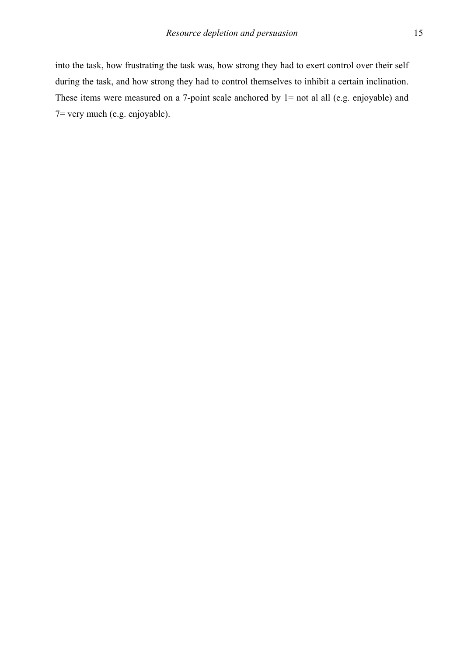into the task, how frustrating the task was, how strong they had to exert control over their self during the task, and how strong they had to control themselves to inhibit a certain inclination. These items were measured on a 7-point scale anchored by 1= not al all (e.g. enjoyable) and 7= very much (e.g. enjoyable).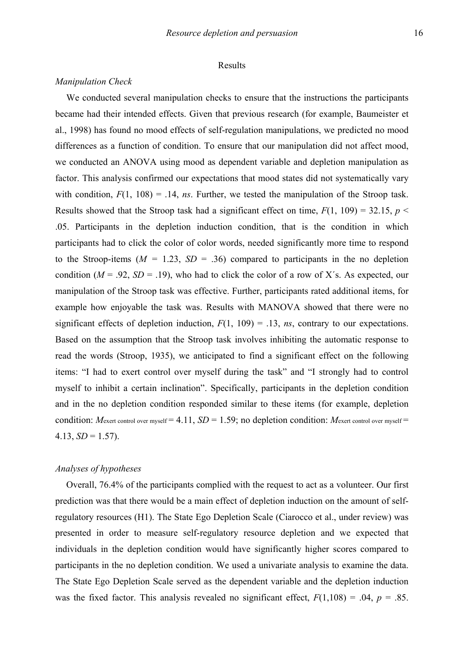#### Results

#### *Manipulation Check*

We conducted several manipulation checks to ensure that the instructions the participants became had their intended effects. Given that previous research (for example, Baumeister et al., 1998) has found no mood effects of self-regulation manipulations, we predicted no mood differences as a function of condition. To ensure that our manipulation did not affect mood, we conducted an ANOVA using mood as dependent variable and depletion manipulation as factor. This analysis confirmed our expectations that mood states did not systematically vary with condition,  $F(1, 108) = .14$ , *ns*. Further, we tested the manipulation of the Stroop task. Results showed that the Stroop task had a significant effect on time,  $F(1, 109) = 32.15$ ,  $p <$ .05. Participants in the depletion induction condition, that is the condition in which participants had to click the color of color words, needed significantly more time to respond to the Stroop-items  $(M = 1.23, SD = .36)$  compared to participants in the no depletion condition ( $M = .92$ ,  $SD = .19$ ), who had to click the color of a row of X's. As expected, our manipulation of the Stroop task was effective. Further, participants rated additional items, for example how enjoyable the task was. Results with MANOVA showed that there were no significant effects of depletion induction,  $F(1, 109) = .13$ , *ns*, contrary to our expectations. Based on the assumption that the Stroop task involves inhibiting the automatic response to read the words (Stroop, 1935), we anticipated to find a significant effect on the following items: "I had to exert control over myself during the task" and "I strongly had to control myself to inhibit a certain inclination". Specifically, participants in the depletion condition and in the no depletion condition responded similar to these items (for example, depletion condition: *Mexert control over myself* = 4.11, *SD* = 1.59; no depletion condition: *Mexert control over myself* =  $4.13, SD = 1.57$ .

#### *Analyses of hypotheses*

Overall, 76.4% of the participants complied with the request to act as a volunteer. Our first prediction was that there would be a main effect of depletion induction on the amount of selfregulatory resources (H1). The State Ego Depletion Scale (Ciarocco et al., under review) was presented in order to measure self-regulatory resource depletion and we expected that individuals in the depletion condition would have significantly higher scores compared to participants in the no depletion condition. We used a univariate analysis to examine the data. The State Ego Depletion Scale served as the dependent variable and the depletion induction was the fixed factor. This analysis revealed no significant effect,  $F(1,108) = .04$ ,  $p = .85$ .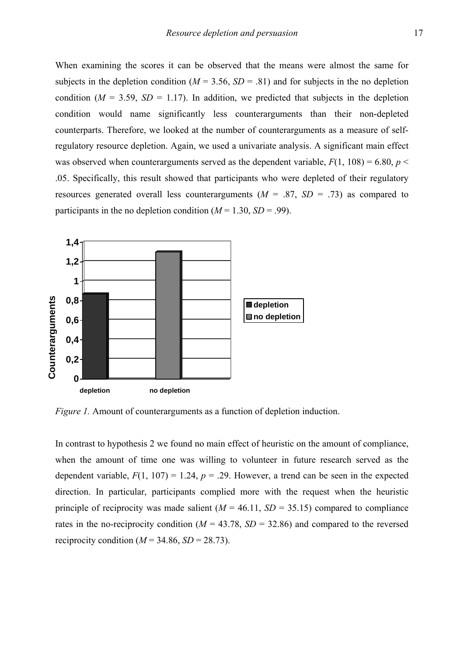When examining the scores it can be observed that the means were almost the same for subjects in the depletion condition ( $M = 3.56$ ,  $SD = .81$ ) and for subjects in the no depletion condition ( $M = 3.59$ ,  $SD = 1.17$ ). In addition, we predicted that subjects in the depletion condition would name significantly less counterarguments than their non-depleted counterparts. Therefore, we looked at the number of counterarguments as a measure of selfregulatory resource depletion. Again, we used a univariate analysis. A significant main effect was observed when counterarguments served as the dependent variable,  $F(1, 108) = 6.80$ ,  $p <$ .05. Specifically, this result showed that participants who were depleted of their regulatory resources generated overall less counterarguments  $(M = .87, SD = .73)$  as compared to participants in the no depletion condition  $(M = 1.30, SD = .99)$ .



*Figure 1.* Amount of counterarguments as a function of depletion induction.

In contrast to hypothesis 2 we found no main effect of heuristic on the amount of compliance, when the amount of time one was willing to volunteer in future research served as the dependent variable,  $F(1, 107) = 1.24$ ,  $p = .29$ . However, a trend can be seen in the expected direction. In particular, participants complied more with the request when the heuristic principle of reciprocity was made salient  $(M = 46.11, SD = 35.15)$  compared to compliance rates in the no-reciprocity condition ( $M = 43.78$ ,  $SD = 32.86$ ) and compared to the reversed reciprocity condition ( $M = 34.86$ ,  $SD = 28.73$ ).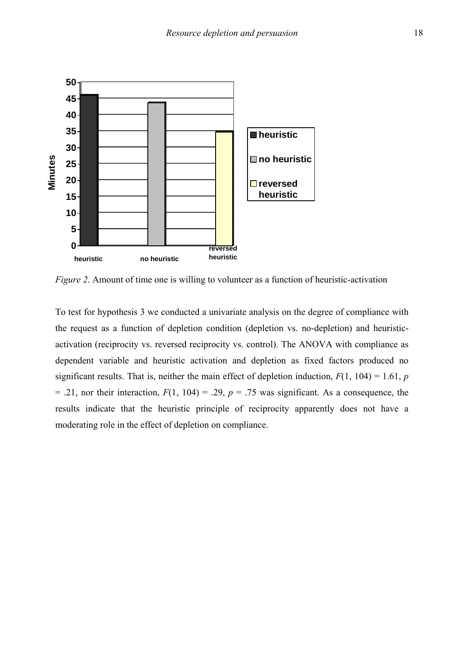

*Figure 2*. Amount of time one is willing to volunteer as a function of heuristic-activation

To test for hypothesis 3 we conducted a univariate analysis on the degree of compliance with the request as a function of depletion condition (depletion vs. no-depletion) and heuristicactivation (reciprocity vs. reversed reciprocity vs. control). The ANOVA with compliance as dependent variable and heuristic activation and depletion as fixed factors produced no significant results. That is, neither the main effect of depletion induction,  $F(1, 104) = 1.61$ , *p* = .21, nor their interaction,  $F(1, 104) = .29$ ,  $p = .75$  was significant. As a consequence, the results indicate that the heuristic principle of reciprocity apparently does not have a moderating role in the effect of depletion on compliance.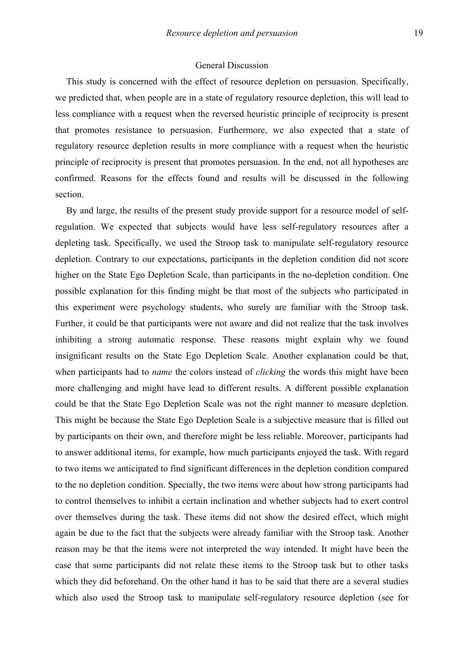#### General Discussion

This study is concerned with the effect of resource depletion on persuasion. Specifically, we predicted that, when people are in a state of regulatory resource depletion, this will lead to less compliance with a request when the reversed heuristic principle of reciprocity is present that promotes resistance to persuasion. Furthermore, we also expected that a state of regulatory resource depletion results in more compliance with a request when the heuristic principle of reciprocity is present that promotes persuasion. In the end, not all hypotheses are confirmed. Reasons for the effects found and results will be discussed in the following section.

By and large, the results of the present study provide support for a resource model of selfregulation. We expected that subjects would have less self-regulatory resources after a depleting task. Specifically, we used the Stroop task to manipulate self-regulatory resource depletion. Contrary to our expectations, participants in the depletion condition did not score higher on the State Ego Depletion Scale, than participants in the no-depletion condition. One possible explanation for this finding might be that most of the subjects who participated in this experiment were psychology students, who surely are familiar with the Stroop task. Further, it could be that participants were not aware and did not realize that the task involves inhibiting a strong automatic response. These reasons might explain why we found insignificant results on the State Ego Depletion Scale. Another explanation could be that, when participants had to *name* the colors instead of *clicking* the words this might have been more challenging and might have lead to different results. A different possible explanation could be that the State Ego Depletion Scale was not the right manner to measure depletion. This might be because the State Ego Depletion Scale is a subjective measure that is filled out by participants on their own, and therefore might be less reliable. Moreover, participants had to answer additional items, for example, how much participants enjoyed the task. With regard to two items we anticipated to find significant differences in the depletion condition compared to the no depletion condition. Specially, the two items were about how strong participants had to control themselves to inhibit a certain inclination and whether subjects had to exert control over themselves during the task. These items did not show the desired effect, which might again be due to the fact that the subjects were already familiar with the Stroop task. Another reason may be that the items were not interpreted the way intended. It might have been the case that some participants did not relate these items to the Stroop task but to other tasks which they did beforehand. On the other hand it has to be said that there are a several studies which also used the Stroop task to manipulate self-regulatory resource depletion (see for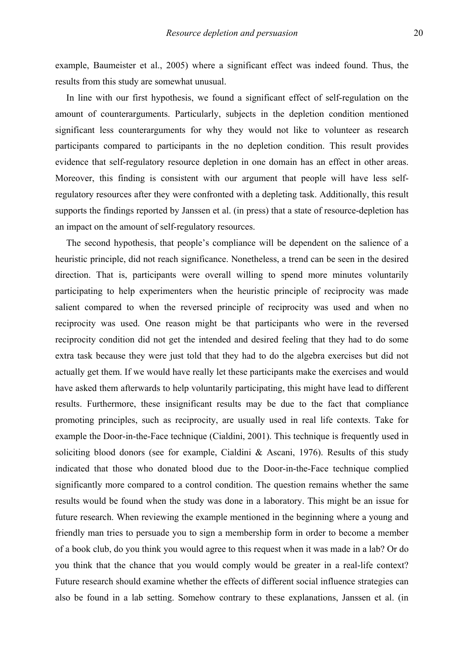example, Baumeister et al., 2005) where a significant effect was indeed found. Thus, the results from this study are somewhat unusual.

In line with our first hypothesis, we found a significant effect of self-regulation on the amount of counterarguments. Particularly, subjects in the depletion condition mentioned significant less counterarguments for why they would not like to volunteer as research participants compared to participants in the no depletion condition. This result provides evidence that self-regulatory resource depletion in one domain has an effect in other areas. Moreover, this finding is consistent with our argument that people will have less selfregulatory resources after they were confronted with a depleting task. Additionally, this result supports the findings reported by Janssen et al. (in press) that a state of resource-depletion has an impact on the amount of self-regulatory resources.

The second hypothesis, that people's compliance will be dependent on the salience of a heuristic principle, did not reach significance. Nonetheless, a trend can be seen in the desired direction. That is, participants were overall willing to spend more minutes voluntarily participating to help experimenters when the heuristic principle of reciprocity was made salient compared to when the reversed principle of reciprocity was used and when no reciprocity was used. One reason might be that participants who were in the reversed reciprocity condition did not get the intended and desired feeling that they had to do some extra task because they were just told that they had to do the algebra exercises but did not actually get them. If we would have really let these participants make the exercises and would have asked them afterwards to help voluntarily participating, this might have lead to different results. Furthermore, these insignificant results may be due to the fact that compliance promoting principles, such as reciprocity, are usually used in real life contexts. Take for example the Door-in-the-Face technique (Cialdini, 2001). This technique is frequently used in soliciting blood donors (see for example, Cialdini & Ascani, 1976). Results of this study indicated that those who donated blood due to the Door-in-the-Face technique complied significantly more compared to a control condition. The question remains whether the same results would be found when the study was done in a laboratory. This might be an issue for future research. When reviewing the example mentioned in the beginning where a young and friendly man tries to persuade you to sign a membership form in order to become a member of a book club, do you think you would agree to this request when it was made in a lab? Or do you think that the chance that you would comply would be greater in a real-life context? Future research should examine whether the effects of different social influence strategies can also be found in a lab setting. Somehow contrary to these explanations, Janssen et al. (in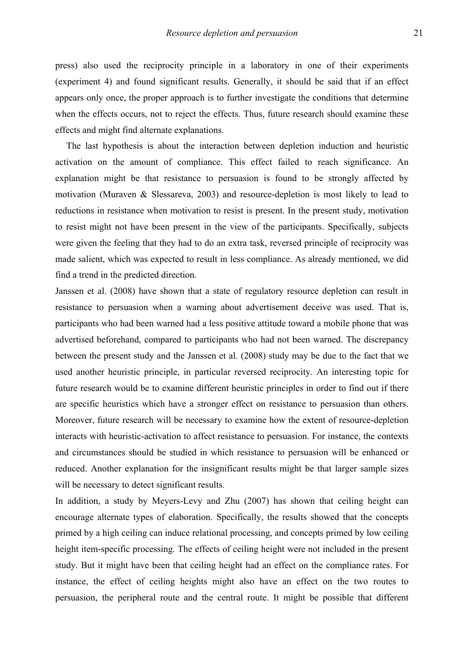press) also used the reciprocity principle in a laboratory in one of their experiments (experiment 4) and found significant results. Generally, it should be said that if an effect appears only once, the proper approach is to further investigate the conditions that determine when the effects occurs, not to reject the effects. Thus, future research should examine these effects and might find alternate explanations.

The last hypothesis is about the interaction between depletion induction and heuristic activation on the amount of compliance. This effect failed to reach significance. An explanation might be that resistance to persuasion is found to be strongly affected by motivation (Muraven & Slessareva, 2003) and resource-depletion is most likely to lead to reductions in resistance when motivation to resist is present. In the present study, motivation to resist might not have been present in the view of the participants. Specifically, subjects were given the feeling that they had to do an extra task, reversed principle of reciprocity was made salient, which was expected to result in less compliance. As already mentioned, we did find a trend in the predicted direction.

Janssen et al. (2008) have shown that a state of regulatory resource depletion can result in resistance to persuasion when a warning about advertisement deceive was used. That is, participants who had been warned had a less positive attitude toward a mobile phone that was advertised beforehand, compared to participants who had not been warned. The discrepancy between the present study and the Janssen et al. (2008) study may be due to the fact that we used another heuristic principle, in particular reversed reciprocity. An interesting topic for future research would be to examine different heuristic principles in order to find out if there are specific heuristics which have a stronger effect on resistance to persuasion than others. Moreover, future research will be necessary to examine how the extent of resource-depletion interacts with heuristic-activation to affect resistance to persuasion. For instance, the contexts and circumstances should be studied in which resistance to persuasion will be enhanced or reduced. Another explanation for the insignificant results might be that larger sample sizes will be necessary to detect significant results.

In addition, a study by Meyers-Levy and Zhu (2007) has shown that ceiling height can encourage alternate types of elaboration. Specifically, the results showed that the concepts primed by a high ceiling can induce relational processing, and concepts primed by low ceiling height item-specific processing. The effects of ceiling height were not included in the present study. But it might have been that ceiling height had an effect on the compliance rates. For instance, the effect of ceiling heights might also have an effect on the two routes to persuasion, the peripheral route and the central route. It might be possible that different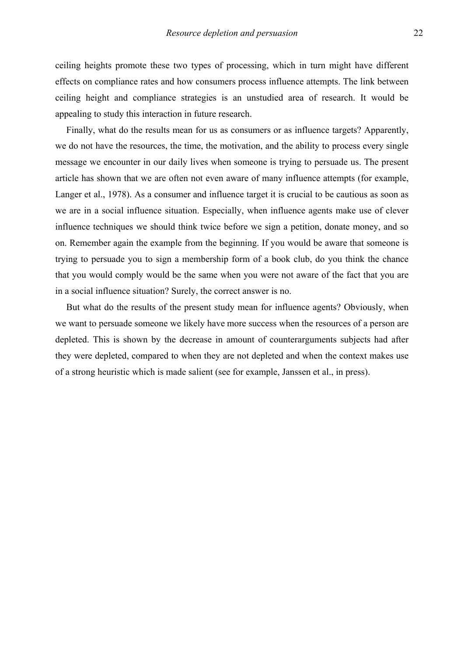ceiling heights promote these two types of processing, which in turn might have different effects on compliance rates and how consumers process influence attempts. The link between ceiling height and compliance strategies is an unstudied area of research. It would be appealing to study this interaction in future research.

Finally, what do the results mean for us as consumers or as influence targets? Apparently, we do not have the resources, the time, the motivation, and the ability to process every single message we encounter in our daily lives when someone is trying to persuade us. The present article has shown that we are often not even aware of many influence attempts (for example, Langer et al., 1978). As a consumer and influence target it is crucial to be cautious as soon as we are in a social influence situation. Especially, when influence agents make use of clever influence techniques we should think twice before we sign a petition, donate money, and so on. Remember again the example from the beginning. If you would be aware that someone is trying to persuade you to sign a membership form of a book club, do you think the chance that you would comply would be the same when you were not aware of the fact that you are in a social influence situation? Surely, the correct answer is no.

But what do the results of the present study mean for influence agents? Obviously, when we want to persuade someone we likely have more success when the resources of a person are depleted. This is shown by the decrease in amount of counterarguments subjects had after they were depleted, compared to when they are not depleted and when the context makes use of a strong heuristic which is made salient (see for example, Janssen et al., in press).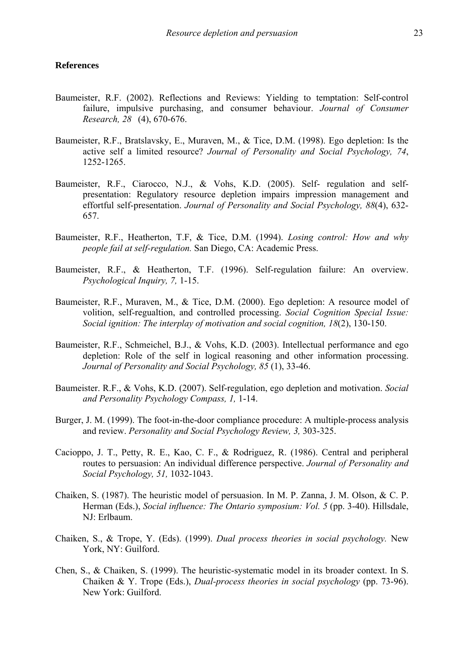#### **References**

- Baumeister, R.F. (2002). Reflections and Reviews: Yielding to temptation: Self-control failure, impulsive purchasing, and consumer behaviour. *Journal of Consumer Research, 28* (4), 670-676.
- Baumeister, R.F., Bratslavsky, E., Muraven, M., & Tice, D.M. (1998). Ego depletion: Is the active self a limited resource? *Journal of Personality and Social Psychology, 74*, 1252-1265.
- Baumeister, R.F., Ciarocco, N.J., & Vohs, K.D. (2005). Self- regulation and self presentation: Regulatory resource depletion impairs impression management and effortful self-presentation. *Journal of Personality and Social Psychology, 88*(4), 632- 657.
- Baumeister, R.F., Heatherton, T.F, & Tice, D.M. (1994). *Losing control: How and why people fail at self-regulation.* San Diego, CA: Academic Press.
- Baumeister, R.F., & Heatherton, T.F. (1996). Self-regulation failure: An overview. *Psychological Inquiry, 7,* 1-15.
- Baumeister, R.F., Muraven, M., & Tice, D.M. (2000). Ego depletion: A resource model of volition, self-regualtion, and controlled processing. *Social Cognition Special Issue: Social ignition: The interplay of motivation and social cognition, 18*(2), 130-150.
- Baumeister, R.F., Schmeichel, B.J., & Vohs, K.D. (2003). Intellectual performance and ego depletion: Role of the self in logical reasoning and other information processing. *Journal of Personality and Social Psychology, 85* (1), 33-46.
- Baumeister. R.F., & Vohs, K.D. (2007). Self-regulation, ego depletion and motivation. *Social and Personality Psychology Compass, 1,* 1-14.
- Burger, J. M. (1999). The foot-in-the-door compliance procedure: A multiple-process analysis and review. *Personality and Social Psychology Review, 3,* 303-325.
- Cacioppo, J. T., Petty, R. E., Kao, C. F., & Rodriguez, R. (1986). Central and peripheral routes to persuasion: An individual difference perspective. *Journal of Personality and Social Psychology, 51,* 1032-1043.
- Chaiken, S. (1987). The heuristic model of persuasion. In M. P. Zanna, J. M. Olson, & C. P. Herman (Eds.), *Social influence: The Ontario symposium: Vol. 5* (pp. 3-40). Hillsdale, NJ: Erlbaum.
- Chaiken, S., & Trope, Y. (Eds). (1999). *Dual process theories in social psychology.* New York, NY: Guilford.
- Chen, S., & Chaiken, S. (1999). The heuristic-systematic model in its broader context. In S. Chaiken & Y. Trope (Eds.), *Dual-process theories in social psychology* (pp. 73-96). New York: Guilford.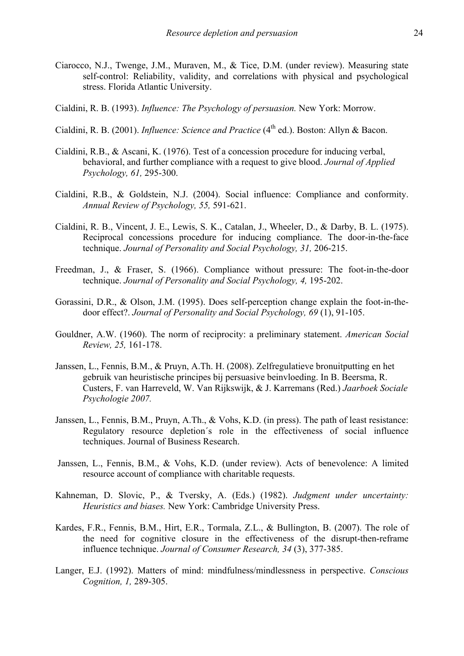- Ciarocco, N.J., Twenge, J.M., Muraven, M., & Tice, D.M. (under review). Measuring state self-control: Reliability, validity, and correlations with physical and psychological stress. Florida Atlantic University.
- Cialdini, R. B. (1993). *Influence: The Psychology of persuasion.* New York: Morrow.
- Cialdini, R. B. (2001). *Influence: Science and Practice* (4<sup>th</sup> ed.). Boston: Allyn & Bacon.
- Cialdini, R.B., & Ascani, K. (1976). Test of a concession procedure for inducing verbal, behavioral, and further compliance with a request to give blood. *Journal of Applied Psychology, 61,* 295-300.
- Cialdini, R.B., & Goldstein, N.J. (2004). Social influence: Compliance and conformity. *Annual Review of Psychology, 55,* 591-621.
- Cialdini, R. B., Vincent, J. E., Lewis, S. K., Catalan, J., Wheeler, D., & Darby, B. L. (1975). Reciprocal concessions procedure for inducing compliance. The door-in-the-face technique. *Journal of Personality and Social Psychology, 31,* 206-215.
- Freedman, J., & Fraser, S. (1966). Compliance without pressure: The foot-in-the-door technique. *Journal of Personality and Social Psychology, 4,* 195-202.
- Gorassini, D.R., & Olson, J.M. (1995). Does self-perception change explain the foot-in-the door effect?. *Journal of Personality and Social Psychology, 69* (1), 91-105.
- Gouldner, A.W. (1960). The norm of reciprocity: a preliminary statement. *American Social Review, 25,* 161-178.
- Janssen, L., Fennis, B.M., & Pruyn, A.Th. H. (2008). Zelfregulatieve bronuitputting en het gebruik van heuristische principes bij persuasive beinvloeding. In B. Beersma, R. Custers, F. van Harreveld, W. Van Rijkswijk, & J. Karremans (Red.) *Jaarboek Sociale Psychologie 2007.*
- Janssen, L., Fennis, B.M., Pruyn, A.Th., & Vohs, K.D. (in press). The path of least resistance: Regulatory resource depletion´s role in the effectiveness of social influence techniques. Journal of Business Research.
- Janssen, L., Fennis, B.M., & Vohs, K.D. (under review). Acts of benevolence: A limited resource account of compliance with charitable requests.
- Kahneman, D. Slovic, P., & Tversky, A. (Eds.) (1982). *Judgment under uncertainty: Heuristics and biases.* New York: Cambridge University Press.
- Kardes, F.R., Fennis, B.M., Hirt, E.R., Tormala, Z.L., & Bullington, B. (2007). The role of the need for cognitive closure in the effectiveness of the disrupt-then-reframe influence technique. *Journal of Consumer Research, 34* (3), 377-385.
- Langer, E.J. (1992). Matters of mind: mindfulness/mindlessness in perspective. *Conscious Cognition, 1,* 289-305.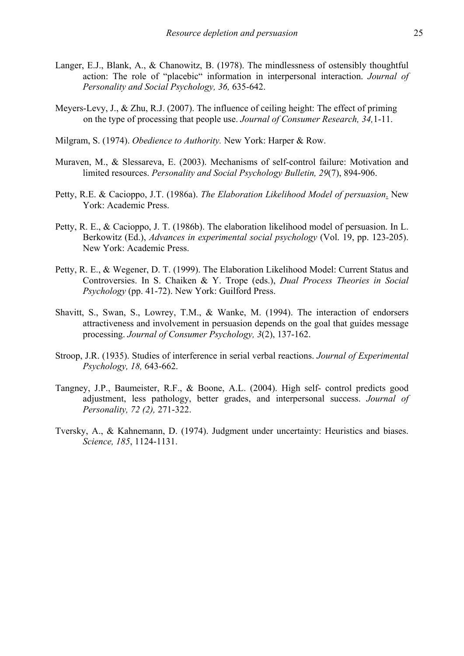- Langer, E.J., Blank, A., & Chanowitz, B. (1978). The mindlessness of ostensibly thoughtful action: The role of "placebic" information in interpersonal interaction. *Journal of Personality and Social Psychology, 36,* 635-642.
- Meyers-Levy, J., & Zhu, R.J. (2007). The influence of ceiling height: The effect of priming on the type of processing that people use. *Journal of Consumer Research, 34,*1-11.
- Milgram, S. (1974). *Obedience to Authority.* New York: Harper & Row.
- Muraven, M., & Slessareva, E. (2003). Mechanisms of self-control failure: Motivation and limited resources. *Personality and Social Psychology Bulletin, 29*(7), 894-906.
- Petty, R.E. & Cacioppo, J.T. (1986a). *The Elaboration Likelihood Model of persuasion*. New York: Academic Press.
- Petty, R. E., & Cacioppo, J. T. (1986b). The elaboration likelihood model of persuasion. In L. Berkowitz (Ed.), *Advances in experimental social psychology* (Vol. 19, pp. 123-205). New York: Academic Press.
- Petty, R. E., & Wegener, D. T. (1999). The Elaboration Likelihood Model: Current Status and Controversies. In S. Chaiken & Y. Trope (eds.), *Dual Process Theories in Social Psychology* (pp. 41-72). New York: Guilford Press.
- Shavitt, S., Swan, S., Lowrey, T.M., & Wanke, M. (1994). The interaction of endorsers attractiveness and involvement in persuasion depends on the goal that guides message processing. *Journal of Consumer Psychology, 3*(2), 137-162.
- Stroop, J.R. (1935). Studies of interference in serial verbal reactions. *Journal of Experimental Psychology, 18,* 643-662.
- Tangney, J.P., Baumeister, R.F., & Boone, A.L. (2004). High self- control predicts good adjustment, less pathology, better grades, and interpersonal success. *Journal of Personality, 72 (2),* 271-322.
- Tversky, A., & Kahnemann, D. (1974). Judgment under uncertainty: Heuristics and biases. *Science, 185*, 1124-1131.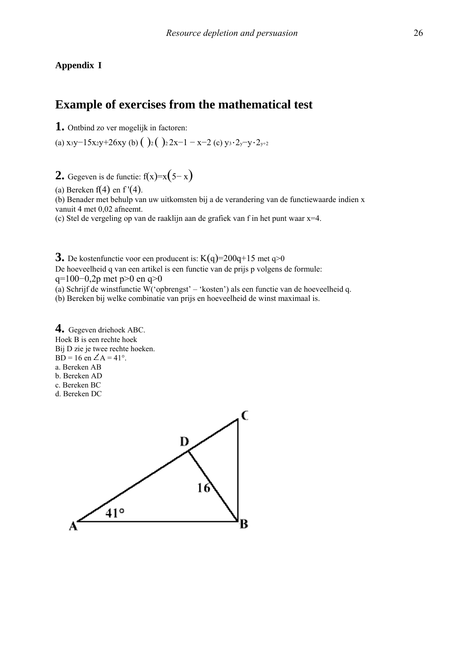#### **Appendix I**

# **Example of exercises from the mathematical test**

**1.** Ontbind zo ver mogelijk in factoren:

(a) x<sub>3</sub>y−15x<sub>2</sub>y+26xy (b) ( )<sub>2</sub> ( )<sub>2</sub>2x−1 − x−2 (c) y<sub>3</sub>⋅2<sub>y</sub>−y⋅2<sub>y+2</sub>

**2.** Gegeven is de functie:  $f(x)=x(5-x)$ 

(a) Bereken  $f(4)$  en f'(4).

(b) Benader met behulp van uw uitkomsten bij a de verandering van de functiewaarde indien x vanuit 4 met 0,02 afneemt.

(c) Stel de vergeling op van de raaklijn aan de grafiek van f in het punt waar x=4.

**3.** De kostenfunctie voor een producent is:  $K(q)=200q+15$  met  $q>0$ De hoeveelheid q van een artikel is een functie van de prijs p volgens de formule: q=100−0,2p met p>0 en q>0 (a) Schrijf de winstfunctie W('opbrengst' – 'kosten') als een functie van de hoeveelheid q.

(b) Bereken bij welke combinatie van prijs en hoeveelheid de winst maximaal is.

**4.** Gegeven driehoek ABC. Hoek B is een rechte hoek Bij D zie je twee rechte hoeken. BD = 16 en  $\angle A = 41^\circ$ . a. Bereken AB b. Bereken AD c. Bereken BC d. Bereken DC